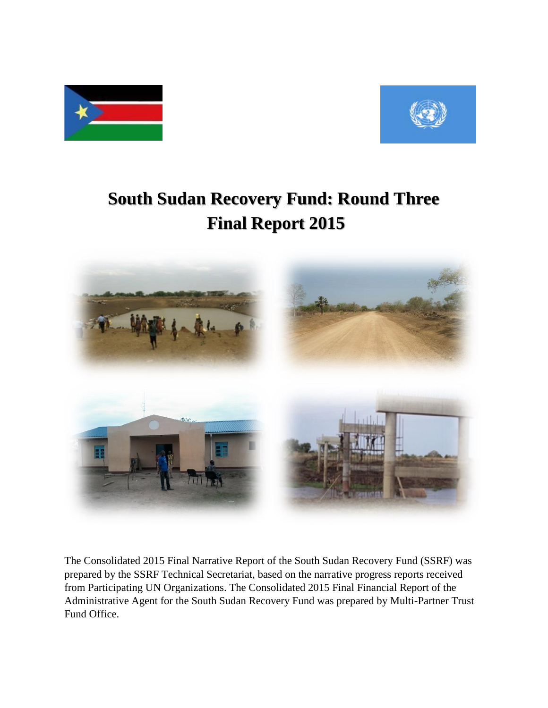



# **South Sudan Recovery Fund: Round Three Final Report 2015**



The Consolidated 2015 Final Narrative Report of the South Sudan Recovery Fund (SSRF) was prepared by the SSRF Technical Secretariat, based on the narrative progress reports received from Participating UN Organizations. The Consolidated 2015 Final Financial Report of the Administrative Agent for the South Sudan Recovery Fund was prepared by Multi-Partner Trust Fund Office.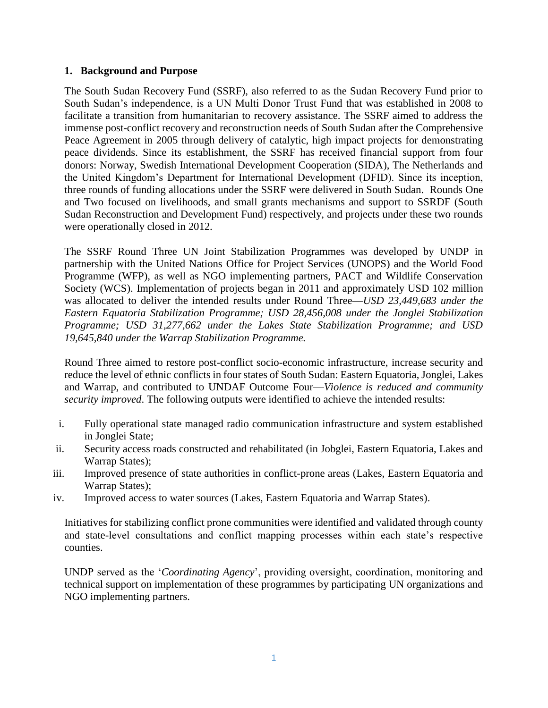#### **1. Background and Purpose**

The South Sudan Recovery Fund (SSRF), also referred to as the Sudan Recovery Fund prior to South Sudan's independence, is a UN Multi Donor Trust Fund that was established in 2008 to facilitate a transition from humanitarian to recovery assistance. The SSRF aimed to address the immense post-conflict recovery and reconstruction needs of South Sudan after the Comprehensive Peace Agreement in 2005 through delivery of catalytic, high impact projects for demonstrating peace dividends. Since its establishment, the SSRF has received financial support from four donors: Norway, Swedish International Development Cooperation (SIDA), The Netherlands and the United Kingdom's Department for International Development (DFID). Since its inception, three rounds of funding allocations under the SSRF were delivered in South Sudan. Rounds One and Two focused on livelihoods, and small grants mechanisms and support to SSRDF (South Sudan Reconstruction and Development Fund) respectively, and projects under these two rounds were operationally closed in 2012.

The SSRF Round Three UN Joint Stabilization Programmes was developed by UNDP in partnership with the United Nations Office for Project Services (UNOPS) and the World Food Programme (WFP), as well as NGO implementing partners, PACT and Wildlife Conservation Society (WCS). Implementation of projects began in 2011 and approximately USD 102 million was allocated to deliver the intended results under Round Three—*USD 23,449,683 under the Eastern Equatoria Stabilization Programme; USD 28,456,008 under the Jonglei Stabilization Programme; USD 31,277,662 under the Lakes State Stabilization Programme; and USD 19,645,840 under the Warrap Stabilization Programme.*

Round Three aimed to restore post-conflict socio-economic infrastructure, increase security and reduce the level of ethnic conflicts in four states of South Sudan: Eastern Equatoria, Jonglei, Lakes and Warrap, and contributed to UNDAF Outcome Four—*Violence is reduced and community security improved*. The following outputs were identified to achieve the intended results:

- i. Fully operational state managed radio communication infrastructure and system established in Jonglei State;
- ii. Security access roads constructed and rehabilitated (in Jobglei, Eastern Equatoria, Lakes and Warrap States);
- iii. Improved presence of state authorities in conflict-prone areas (Lakes, Eastern Equatoria and Warrap States);
- iv. Improved access to water sources (Lakes, Eastern Equatoria and Warrap States).

Initiatives for stabilizing conflict prone communities were identified and validated through county and state-level consultations and conflict mapping processes within each state's respective counties.

UNDP served as the '*Coordinating Agency*', providing oversight, coordination, monitoring and technical support on implementation of these programmes by participating UN organizations and NGO implementing partners.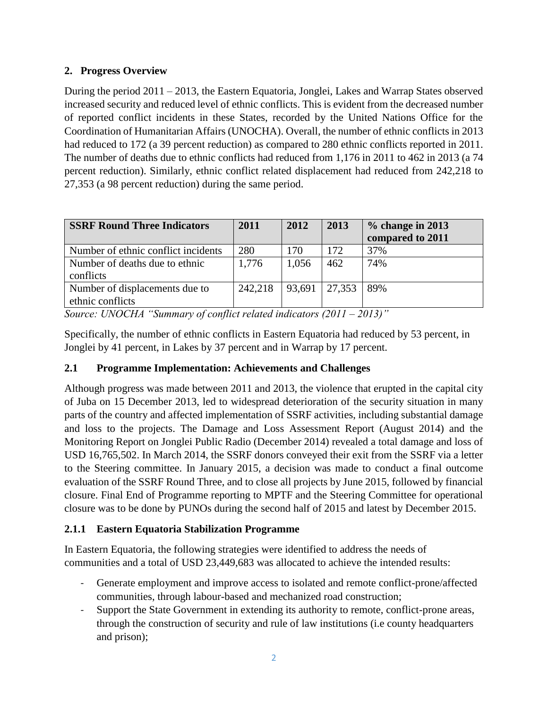# **2. Progress Overview**

During the period 2011 – 2013, the Eastern Equatoria, Jonglei, Lakes and Warrap States observed increased security and reduced level of ethnic conflicts. This is evident from the decreased number of reported conflict incidents in these States, recorded by the United Nations Office for the Coordination of Humanitarian Affairs (UNOCHA). Overall, the number of ethnic conflicts in 2013 had reduced to 172 (a 39 percent reduction) as compared to 280 ethnic conflicts reported in 2011. The number of deaths due to ethnic conflicts had reduced from 1,176 in 2011 to 462 in 2013 (a 74 percent reduction). Similarly, ethnic conflict related displacement had reduced from 242,218 to 27,353 (a 98 percent reduction) during the same period.

| <b>SSRF Round Three Indicators</b>                 | 2011    | 2012   | 2013   | $%$ change in 2013<br>compared to 2011 |
|----------------------------------------------------|---------|--------|--------|----------------------------------------|
| Number of ethnic conflict incidents                | 280     | 170    | 172    | 37%                                    |
| Number of deaths due to ethnic<br>conflicts        | 1,776   | 1,056  | 462    | 74%                                    |
| Number of displacements due to<br>ethnic conflicts | 242,218 | 93,691 | 27,353 | 89%                                    |

*Source: UNOCHA "Summary of conflict related indicators (2011 – 2013)"*

Specifically, the number of ethnic conflicts in Eastern Equatoria had reduced by 53 percent, in Jonglei by 41 percent, in Lakes by 37 percent and in Warrap by 17 percent.

# **2.1 Programme Implementation: Achievements and Challenges**

Although progress was made between 2011 and 2013, the violence that erupted in the capital city of Juba on 15 December 2013, led to widespread deterioration of the security situation in many parts of the country and affected implementation of SSRF activities, including substantial damage and loss to the projects. The Damage and Loss Assessment Report (August 2014) and the Monitoring Report on Jonglei Public Radio (December 2014) revealed a total damage and loss of USD 16,765,502. In March 2014, the SSRF donors conveyed their exit from the SSRF via a letter to the Steering committee. In January 2015, a decision was made to conduct a final outcome evaluation of the SSRF Round Three, and to close all projects by June 2015, followed by financial closure. Final End of Programme reporting to MPTF and the Steering Committee for operational closure was to be done by PUNOs during the second half of 2015 and latest by December 2015.

# **2.1.1 Eastern Equatoria Stabilization Programme**

In Eastern Equatoria, the following strategies were identified to address the needs of communities and a total of USD 23,449,683 was allocated to achieve the intended results:

- Generate employment and improve access to isolated and remote conflict-prone/affected communities, through labour-based and mechanized road construction;
- Support the State Government in extending its authority to remote, conflict-prone areas, through the construction of security and rule of law institutions (i.e county headquarters and prison);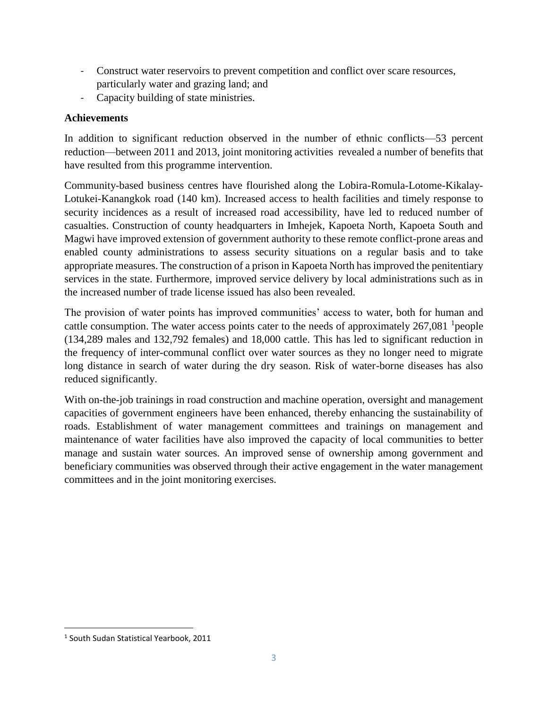- Construct water reservoirs to prevent competition and conflict over scare resources, particularly water and grazing land; and
- Capacity building of state ministries.

## **Achievements**

In addition to significant reduction observed in the number of ethnic conflicts—53 percent reduction—between 2011 and 2013, joint monitoring activities revealed a number of benefits that have resulted from this programme intervention.

Community-based business centres have flourished along the Lobira-Romula-Lotome-Kikalay-Lotukei-Kanangkok road (140 km). Increased access to health facilities and timely response to security incidences as a result of increased road accessibility, have led to reduced number of casualties. Construction of county headquarters in Imhejek, Kapoeta North, Kapoeta South and Magwi have improved extension of government authority to these remote conflict-prone areas and enabled county administrations to assess security situations on a regular basis and to take appropriate measures. The construction of a prison in Kapoeta North has improved the penitentiary services in the state. Furthermore, improved service delivery by local administrations such as in the increased number of trade license issued has also been revealed.

The provision of water points has improved communities' access to water, both for human and cattle consumption. The water access points cater to the needs of approximately  $267,081$  <sup>1</sup> people (134,289 males and 132,792 females) and 18,000 cattle. This has led to significant reduction in the frequency of inter-communal conflict over water sources as they no longer need to migrate long distance in search of water during the dry season. Risk of water-borne diseases has also reduced significantly.

With on-the-job trainings in road construction and machine operation, oversight and management capacities of government engineers have been enhanced, thereby enhancing the sustainability of roads. Establishment of water management committees and trainings on management and maintenance of water facilities have also improved the capacity of local communities to better manage and sustain water sources. An improved sense of ownership among government and beneficiary communities was observed through their active engagement in the water management committees and in the joint monitoring exercises.

 $\overline{\phantom{a}}$ 

<sup>1</sup> South Sudan Statistical Yearbook, 2011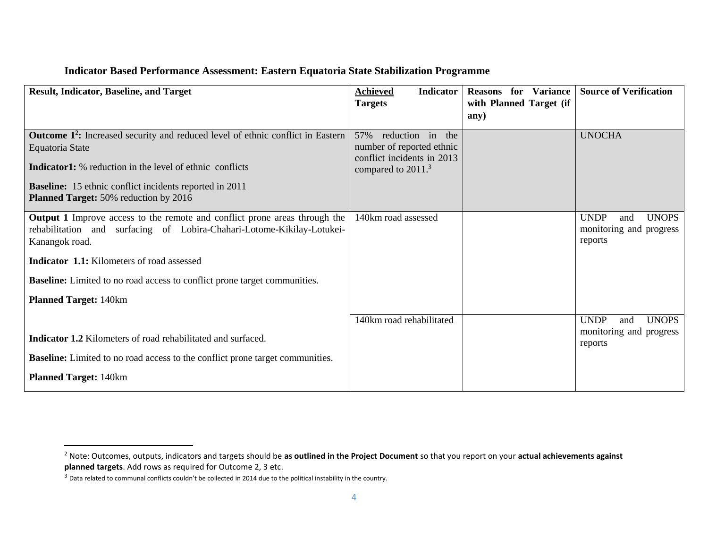#### **Indicator Based Performance Assessment: Eastern Equatoria State Stabilization Programme**

| <b>Result, Indicator, Baseline, and Target</b>                                                   | <b>Indicator</b><br><b>Achieved</b>                     | <b>Reasons</b><br>for Variance | <b>Source of Verification</b>      |
|--------------------------------------------------------------------------------------------------|---------------------------------------------------------|--------------------------------|------------------------------------|
|                                                                                                  | <b>Targets</b>                                          | with Planned Target (if        |                                    |
|                                                                                                  |                                                         | any)                           |                                    |
| <b>Outcome 1<sup>2</sup>:</b> Increased security and reduced level of ethnic conflict in Eastern | 57%<br>reduction in the                                 |                                | <b>UNOCHA</b>                      |
| Equatoria State                                                                                  | number of reported ethnic<br>conflict incidents in 2013 |                                |                                    |
| <b>Indicator1:</b> % reduction in the level of ethnic conflicts                                  | compared to 2011. <sup>3</sup>                          |                                |                                    |
| <b>Baseline:</b> 15 ethnic conflict incidents reported in 2011                                   |                                                         |                                |                                    |
| <b>Planned Target:</b> 50% reduction by 2016                                                     |                                                         |                                |                                    |
| <b>Output 1</b> Improve access to the remote and conflict prone areas through the                | 140km road assessed                                     |                                | <b>UNDP</b><br><b>UNOPS</b><br>and |
| rehabilitation and surfacing of Lobira-Chahari-Lotome-Kikilay-Lotukei-                           |                                                         |                                | monitoring and progress            |
| Kanangok road.                                                                                   |                                                         |                                | reports                            |
| <b>Indicator 1.1:</b> Kilometers of road assessed                                                |                                                         |                                |                                    |
| <b>Baseline:</b> Limited to no road access to conflict prone target communities.                 |                                                         |                                |                                    |
| <b>Planned Target: 140km</b>                                                                     |                                                         |                                |                                    |
|                                                                                                  | 140km road rehabilitated                                |                                | <b>UNDP</b><br><b>UNOPS</b><br>and |
| <b>Indicator 1.2</b> Kilometers of road rehabilitated and surfaced.                              |                                                         |                                | monitoring and progress<br>reports |
| <b>Baseline:</b> Limited to no road access to the conflict prone target communities.             |                                                         |                                |                                    |
| <b>Planned Target: 140km</b>                                                                     |                                                         |                                |                                    |

 $\overline{\phantom{a}}$ 

<sup>2</sup> Note: Outcomes, outputs, indicators and targets should be **as outlined in the Project Document** so that you report on your **actual achievements against planned targets**. Add rows as required for Outcome 2, 3 etc.

<sup>&</sup>lt;sup>3</sup> Data related to communal conflicts couldn't be collected in 2014 due to the political instability in the country.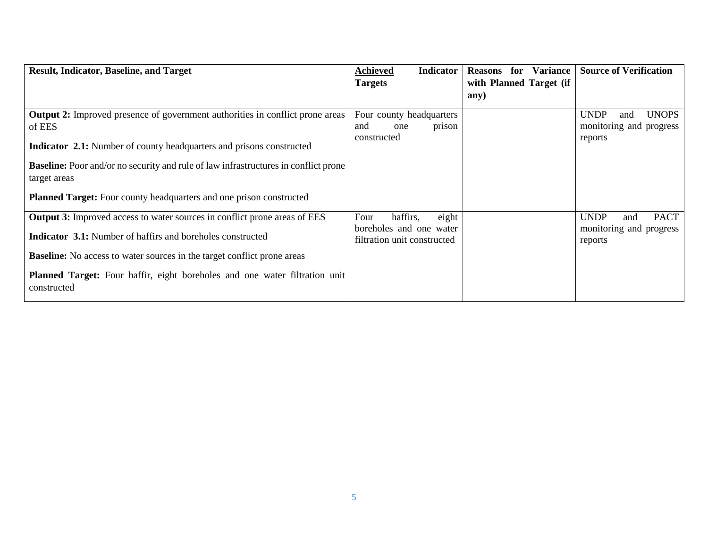| <b>Result, Indicator, Baseline, and Target</b>                                                             | <b>Achieved</b><br><b>Indicator</b>                    | <b>Variance</b><br>for<br><b>Reasons</b> | <b>Source of Verification</b>      |
|------------------------------------------------------------------------------------------------------------|--------------------------------------------------------|------------------------------------------|------------------------------------|
|                                                                                                            | <b>Targets</b>                                         | with Planned Target (if                  |                                    |
|                                                                                                            |                                                        | any)                                     |                                    |
| <b>Output 2:</b> Improved presence of government authorities in conflict prone areas                       | Four county headquarters                               |                                          | <b>UNDP</b><br><b>UNOPS</b><br>and |
| of EES                                                                                                     | and<br>prison<br>one                                   |                                          | monitoring and progress            |
| <b>Indicator 2.1:</b> Number of county headquarters and prisons constructed                                | constructed                                            |                                          | reports                            |
| <b>Baseline:</b> Poor and/or no security and rule of law infrastructures in conflict prone<br>target areas |                                                        |                                          |                                    |
| <b>Planned Target:</b> Four county headquarters and one prison constructed                                 |                                                        |                                          |                                    |
| Output 3: Improved access to water sources in conflict prone areas of EES                                  | eight<br>Four<br>haffirs,                              |                                          | <b>UNDP</b><br><b>PACT</b><br>and  |
| <b>Indicator 3.1:</b> Number of haffirs and boreholes constructed                                          | boreholes and one water<br>filtration unit constructed |                                          | monitoring and progress<br>reports |
| <b>Baseline:</b> No access to water sources in the target conflict prone areas                             |                                                        |                                          |                                    |
| Planned Target: Four haffir, eight boreholes and one water filtration unit<br>constructed                  |                                                        |                                          |                                    |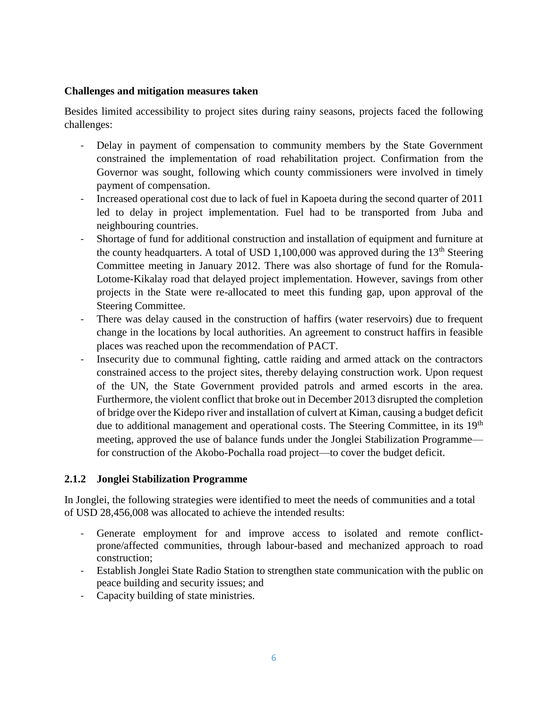#### **Challenges and mitigation measures taken**

Besides limited accessibility to project sites during rainy seasons, projects faced the following challenges:

- Delay in payment of compensation to community members by the State Government constrained the implementation of road rehabilitation project. Confirmation from the Governor was sought, following which county commissioners were involved in timely payment of compensation.
- Increased operational cost due to lack of fuel in Kapoeta during the second quarter of 2011 led to delay in project implementation. Fuel had to be transported from Juba and neighbouring countries.
- Shortage of fund for additional construction and installation of equipment and furniture at the county headquarters. A total of USD 1,100,000 was approved during the  $13<sup>th</sup>$  Steering Committee meeting in January 2012. There was also shortage of fund for the Romula-Lotome-Kikalay road that delayed project implementation. However, savings from other projects in the State were re-allocated to meet this funding gap, upon approval of the Steering Committee.
- There was delay caused in the construction of haffirs (water reservoirs) due to frequent change in the locations by local authorities. An agreement to construct haffirs in feasible places was reached upon the recommendation of PACT.
- Insecurity due to communal fighting, cattle raiding and armed attack on the contractors constrained access to the project sites, thereby delaying construction work. Upon request of the UN, the State Government provided patrols and armed escorts in the area. Furthermore, the violent conflict that broke out in December 2013 disrupted the completion of bridge over the Kidepo river and installation of culvert at Kiman, causing a budget deficit due to additional management and operational costs. The Steering Committee, in its 19<sup>th</sup> meeting, approved the use of balance funds under the Jonglei Stabilization Programme for construction of the Akobo-Pochalla road project—to cover the budget deficit.

#### **2.1.2 Jonglei Stabilization Programme**

In Jonglei, the following strategies were identified to meet the needs of communities and a total of USD 28,456,008 was allocated to achieve the intended results:

- Generate employment for and improve access to isolated and remote conflictprone/affected communities, through labour-based and mechanized approach to road construction;
- Establish Jonglei State Radio Station to strengthen state communication with the public on peace building and security issues; and
- Capacity building of state ministries.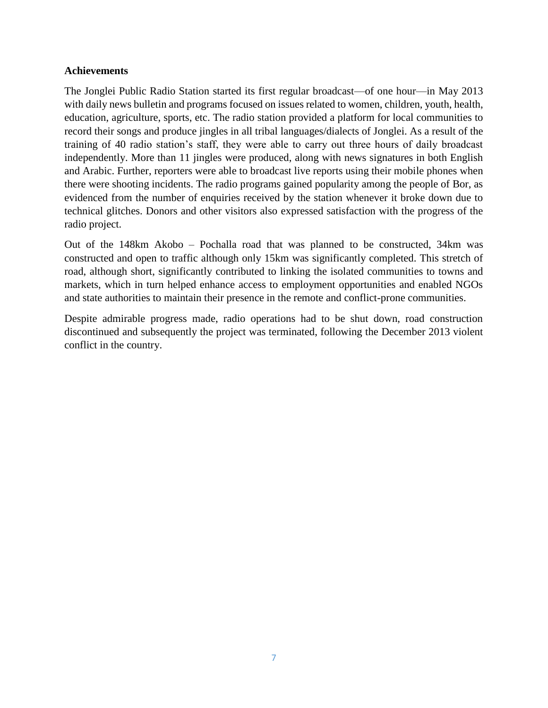#### **Achievements**

The Jonglei Public Radio Station started its first regular broadcast—of one hour—in May 2013 with daily news bulletin and programs focused on issues related to women, children, youth, health, education, agriculture, sports, etc. The radio station provided a platform for local communities to record their songs and produce jingles in all tribal languages/dialects of Jonglei. As a result of the training of 40 radio station's staff, they were able to carry out three hours of daily broadcast independently. More than 11 jingles were produced, along with news signatures in both English and Arabic. Further, reporters were able to broadcast live reports using their mobile phones when there were shooting incidents. The radio programs gained popularity among the people of Bor, as evidenced from the number of enquiries received by the station whenever it broke down due to technical glitches. Donors and other visitors also expressed satisfaction with the progress of the radio project.

Out of the 148km Akobo – Pochalla road that was planned to be constructed, 34km was constructed and open to traffic although only 15km was significantly completed. This stretch of road, although short, significantly contributed to linking the isolated communities to towns and markets, which in turn helped enhance access to employment opportunities and enabled NGOs and state authorities to maintain their presence in the remote and conflict-prone communities.

Despite admirable progress made, radio operations had to be shut down, road construction discontinued and subsequently the project was terminated, following the December 2013 violent conflict in the country.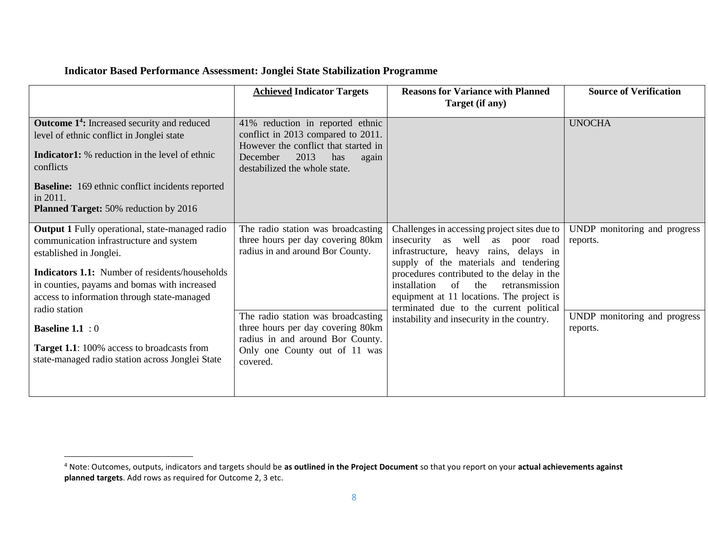# **Indicator Based Performance Assessment: Jonglei State Stabilization Programme**

l

|                                                                                                                                                                                                                                                                                                                                                                                                                                           | <b>Achieved Indicator Targets</b>                                                                                                                                                                                                                                       | <b>Reasons for Variance with Planned</b><br>Target (if any)                                                                                                                                                                                                                                                                                                                                           | <b>Source of Verification</b>                                                        |
|-------------------------------------------------------------------------------------------------------------------------------------------------------------------------------------------------------------------------------------------------------------------------------------------------------------------------------------------------------------------------------------------------------------------------------------------|-------------------------------------------------------------------------------------------------------------------------------------------------------------------------------------------------------------------------------------------------------------------------|-------------------------------------------------------------------------------------------------------------------------------------------------------------------------------------------------------------------------------------------------------------------------------------------------------------------------------------------------------------------------------------------------------|--------------------------------------------------------------------------------------|
| <b>Outcome 1<sup>4</sup>:</b> Increased security and reduced                                                                                                                                                                                                                                                                                                                                                                              | 41% reduction in reported ethnic<br>conflict in 2013 compared to 2011.                                                                                                                                                                                                  |                                                                                                                                                                                                                                                                                                                                                                                                       | <b>UNOCHA</b>                                                                        |
| level of ethnic conflict in Jonglei state<br><b>Indicator1:</b> % reduction in the level of ethnic<br>conflicts                                                                                                                                                                                                                                                                                                                           | However the conflict that started in<br>2013<br>December<br>has<br>again<br>destabilized the whole state.                                                                                                                                                               |                                                                                                                                                                                                                                                                                                                                                                                                       |                                                                                      |
| <b>Baseline:</b> 169 ethnic conflict incidents reported<br>in 2011.<br><b>Planned Target:</b> 50% reduction by 2016                                                                                                                                                                                                                                                                                                                       |                                                                                                                                                                                                                                                                         |                                                                                                                                                                                                                                                                                                                                                                                                       |                                                                                      |
| <b>Output 1</b> Fully operational, state-managed radio<br>communication infrastructure and system<br>established in Jonglei.<br><b>Indicators 1.1:</b> Number of residents/households<br>in counties, payams and bomas with increased<br>access to information through state-managed<br>radio station<br><b>Baseline 1.1</b> : 0<br><b>Target 1.1:</b> 100% access to broadcasts from<br>state-managed radio station across Jonglei State | The radio station was broadcasting<br>three hours per day covering 80km<br>radius in and around Bor County.<br>The radio station was broadcasting<br>three hours per day covering 80km<br>radius in and around Bor County.<br>Only one County out of 11 was<br>covered. | Challenges in accessing project sites due to<br>insecurity as well as poor road<br>infrastructure, heavy rains, delays in<br>supply of the materials and tendering<br>procedures contributed to the delay in the<br>of<br>installation<br>the<br>retransmission<br>equipment at 11 locations. The project is<br>terminated due to the current political<br>instability and insecurity in the country. | UNDP monitoring and progress<br>reports.<br>UNDP monitoring and progress<br>reports. |

<sup>4</sup> Note: Outcomes, outputs, indicators and targets should be **as outlined in the Project Document** so that you report on your **actual achievements against planned targets**. Add rows as required for Outcome 2, 3 etc.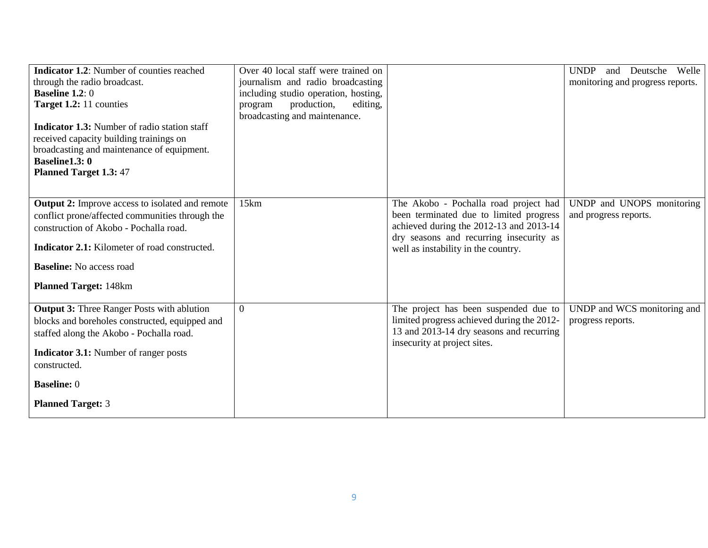| <b>Indicator 1.2:</b> Number of counties reached<br>through the radio broadcast.<br><b>Baseline 1.2:</b> $0$<br>Target 1.2: 11 counties<br><b>Indicator 1.3:</b> Number of radio station staff<br>received capacity building trainings on<br>broadcasting and maintenance of equipment.<br><b>Baseline1.3:0</b> | Over 40 local staff were trained on<br>journalism and radio broadcasting<br>including studio operation, hosting,<br>editing,<br>production,<br>program<br>broadcasting and maintenance. |                                                                                                                                                                                                               | Welle<br><b>UNDP</b><br>Deutsche<br>and<br>monitoring and progress reports. |
|-----------------------------------------------------------------------------------------------------------------------------------------------------------------------------------------------------------------------------------------------------------------------------------------------------------------|-----------------------------------------------------------------------------------------------------------------------------------------------------------------------------------------|---------------------------------------------------------------------------------------------------------------------------------------------------------------------------------------------------------------|-----------------------------------------------------------------------------|
| <b>Planned Target 1.3: 47</b>                                                                                                                                                                                                                                                                                   |                                                                                                                                                                                         |                                                                                                                                                                                                               |                                                                             |
| <b>Output 2:</b> Improve access to isolated and remote<br>conflict prone/affected communities through the<br>construction of Akobo - Pochalla road.<br>Indicator 2.1: Kilometer of road constructed.<br><b>Baseline:</b> No access road<br><b>Planned Target: 148km</b>                                         | 15km                                                                                                                                                                                    | The Akobo - Pochalla road project had<br>been terminated due to limited progress<br>achieved during the 2012-13 and 2013-14<br>dry seasons and recurring insecurity as<br>well as instability in the country. | UNDP and UNOPS monitoring<br>and progress reports.                          |
| <b>Output 3: Three Ranger Posts with ablution</b><br>blocks and boreholes constructed, equipped and<br>staffed along the Akobo - Pochalla road.<br><b>Indicator 3.1:</b> Number of ranger posts<br>constructed.                                                                                                 | $\boldsymbol{0}$                                                                                                                                                                        | The project has been suspended due to<br>limited progress achieved during the 2012-<br>13 and 2013-14 dry seasons and recurring<br>insecurity at project sites.                                               | UNDP and WCS monitoring and<br>progress reports.                            |
| <b>Baseline: 0</b><br><b>Planned Target: 3</b>                                                                                                                                                                                                                                                                  |                                                                                                                                                                                         |                                                                                                                                                                                                               |                                                                             |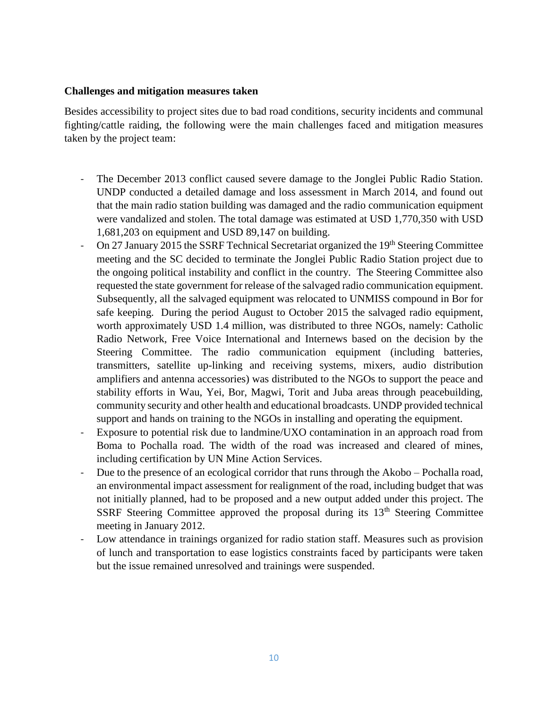#### **Challenges and mitigation measures taken**

Besides accessibility to project sites due to bad road conditions, security incidents and communal fighting/cattle raiding, the following were the main challenges faced and mitigation measures taken by the project team:

- The December 2013 conflict caused severe damage to the Jonglei Public Radio Station. UNDP conducted a detailed damage and loss assessment in March 2014, and found out that the main radio station building was damaged and the radio communication equipment were vandalized and stolen. The total damage was estimated at USD 1,770,350 with USD 1,681,203 on equipment and USD 89,147 on building.
- On 27 January 2015 the SSRF Technical Secretariat organized the 19<sup>th</sup> Steering Committee meeting and the SC decided to terminate the Jonglei Public Radio Station project due to the ongoing political instability and conflict in the country. The Steering Committee also requested the state government for release of the salvaged radio communication equipment. Subsequently, all the salvaged equipment was relocated to UNMISS compound in Bor for safe keeping. During the period August to October 2015 the salvaged radio equipment, worth approximately USD 1.4 million, was distributed to three NGOs, namely: Catholic Radio Network, Free Voice International and Internews based on the decision by the Steering Committee. The radio communication equipment (including batteries, transmitters, satellite up-linking and receiving systems, mixers, audio distribution amplifiers and antenna accessories) was distributed to the NGOs to support the peace and stability efforts in Wau, Yei, Bor, Magwi, Torit and Juba areas through peacebuilding, community security and other health and educational broadcasts. UNDP provided technical support and hands on training to the NGOs in installing and operating the equipment.
- Exposure to potential risk due to landmine/UXO contamination in an approach road from Boma to Pochalla road. The width of the road was increased and cleared of mines, including certification by UN Mine Action Services.
- Due to the presence of an ecological corridor that runs through the Akobo Pochalla road, an environmental impact assessment for realignment of the road, including budget that was not initially planned, had to be proposed and a new output added under this project. The SSRF Steering Committee approved the proposal during its  $13<sup>th</sup>$  Steering Committee meeting in January 2012.
- Low attendance in trainings organized for radio station staff. Measures such as provision of lunch and transportation to ease logistics constraints faced by participants were taken but the issue remained unresolved and trainings were suspended.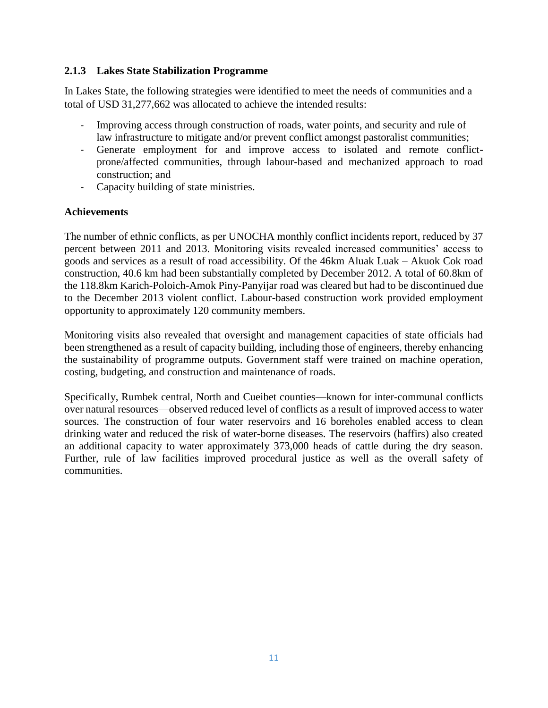#### **2.1.3 Lakes State Stabilization Programme**

In Lakes State, the following strategies were identified to meet the needs of communities and a total of USD 31,277,662 was allocated to achieve the intended results:

- Improving access through construction of roads, water points, and security and rule of law infrastructure to mitigate and/or prevent conflict amongst pastoralist communities;
- Generate employment for and improve access to isolated and remote conflictprone/affected communities, through labour-based and mechanized approach to road construction; and
- Capacity building of state ministries.

#### **Achievements**

The number of ethnic conflicts, as per UNOCHA monthly conflict incidents report, reduced by 37 percent between 2011 and 2013. Monitoring visits revealed increased communities' access to goods and services as a result of road accessibility. Of the 46km Aluak Luak – Akuok Cok road construction, 40.6 km had been substantially completed by December 2012. A total of 60.8km of the 118.8km Karich-Poloich-Amok Piny-Panyijar road was cleared but had to be discontinued due to the December 2013 violent conflict. Labour-based construction work provided employment opportunity to approximately 120 community members.

Monitoring visits also revealed that oversight and management capacities of state officials had been strengthened as a result of capacity building, including those of engineers, thereby enhancing the sustainability of programme outputs. Government staff were trained on machine operation, costing, budgeting, and construction and maintenance of roads.

Specifically, Rumbek central, North and Cueibet counties—known for inter-communal conflicts over natural resources—observed reduced level of conflicts as a result of improved access to water sources. The construction of four water reservoirs and 16 boreholes enabled access to clean drinking water and reduced the risk of water-borne diseases. The reservoirs (haffirs) also created an additional capacity to water approximately 373,000 heads of cattle during the dry season. Further, rule of law facilities improved procedural justice as well as the overall safety of communities.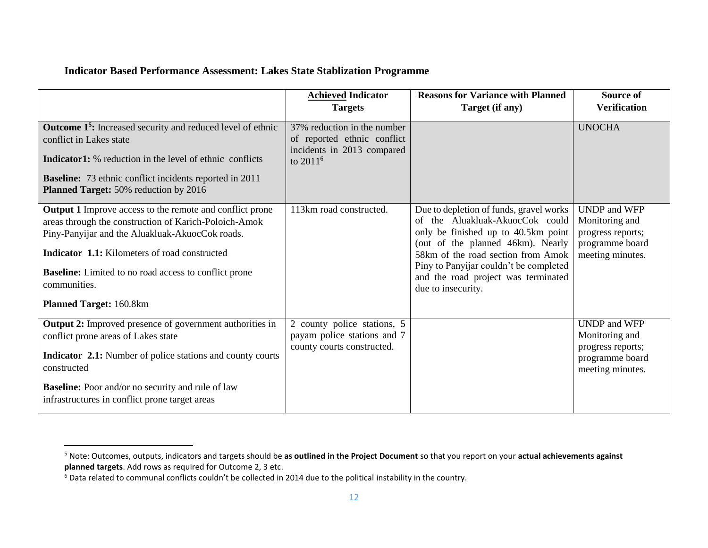#### **Indicator Based Performance Assessment: Lakes State Stablization Programme**

|                                                                                                                                                                                                                                                                                                                                         | <b>Achieved Indicator</b><br><b>Targets</b>                                                                      | <b>Reasons for Variance with Planned</b><br>Target (if any)                                                                                                                                                                                                                                         | <b>Source of</b><br><b>Verification</b>                                                           |
|-----------------------------------------------------------------------------------------------------------------------------------------------------------------------------------------------------------------------------------------------------------------------------------------------------------------------------------------|------------------------------------------------------------------------------------------------------------------|-----------------------------------------------------------------------------------------------------------------------------------------------------------------------------------------------------------------------------------------------------------------------------------------------------|---------------------------------------------------------------------------------------------------|
|                                                                                                                                                                                                                                                                                                                                         |                                                                                                                  |                                                                                                                                                                                                                                                                                                     |                                                                                                   |
| <b>Outcome 1<sup>5</sup>:</b> Increased security and reduced level of ethnic<br>conflict in Lakes state<br><b>Indicator1:</b> % reduction in the level of ethnic conflicts<br><b>Baseline:</b> 73 ethnic conflict incidents reported in 2011<br>Planned Target: 50% reduction by 2016                                                   | 37% reduction in the number<br>of reported ethnic conflict<br>incidents in 2013 compared<br>to 2011 <sup>6</sup> |                                                                                                                                                                                                                                                                                                     | <b>UNOCHA</b>                                                                                     |
| <b>Output 1</b> Improve access to the remote and conflict prone<br>areas through the construction of Karich-Poloich-Amok<br>Piny-Panyijar and the Aluakluak-AkuocCok roads.<br>Indicator 1.1: Kilometers of road constructed<br><b>Baseline:</b> Limited to no road access to conflict prone<br>communities.<br>Planned Target: 160.8km | 113km road constructed.                                                                                          | Due to depletion of funds, gravel works<br>of the Aluakluak-AkuocCok could<br>only be finished up to 40.5km point<br>(out of the planned 46km). Nearly<br>58km of the road section from Amok<br>Piny to Panyijar couldn't be completed<br>and the road project was terminated<br>due to insecurity. | <b>UNDP</b> and WFP<br>Monitoring and<br>progress reports;<br>programme board<br>meeting minutes. |
| <b>Output 2:</b> Improved presence of government authorities in<br>conflict prone areas of Lakes state<br><b>Indicator 2.1:</b> Number of police stations and county courts<br>constructed<br><b>Baseline:</b> Poor and/or no security and rule of law<br>infrastructures in conflict prone target areas                                | 2 county police stations, 5<br>payam police stations and 7<br>county courts constructed.                         |                                                                                                                                                                                                                                                                                                     | <b>UNDP</b> and WFP<br>Monitoring and<br>progress reports;<br>programme board<br>meeting minutes. |

 $\overline{\phantom{a}}$ 

<sup>5</sup> Note: Outcomes, outputs, indicators and targets should be **as outlined in the Project Document** so that you report on your **actual achievements against planned targets**. Add rows as required for Outcome 2, 3 etc.

<sup>6</sup> Data related to communal conflicts couldn't be collected in 2014 due to the political instability in the country.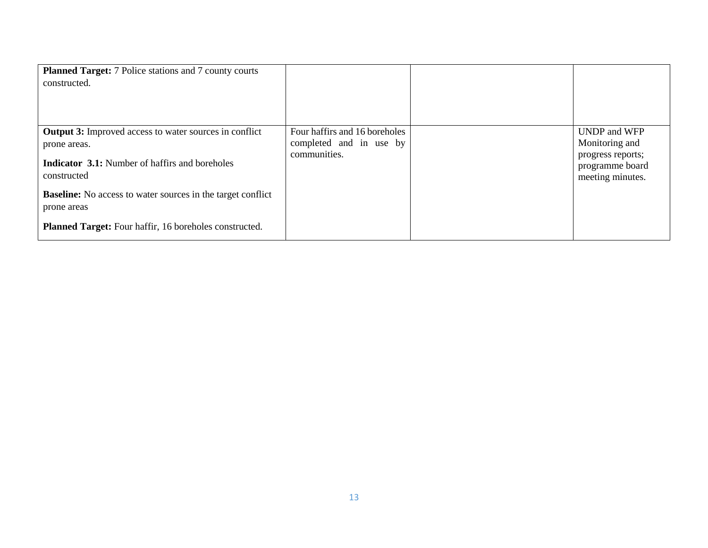| <b>Planned Target:</b> 7 Police stations and 7 county courts<br>constructed.                                                                          |                                                                          |                                                                                                   |
|-------------------------------------------------------------------------------------------------------------------------------------------------------|--------------------------------------------------------------------------|---------------------------------------------------------------------------------------------------|
| <b>Output 3:</b> Improved access to water sources in conflict<br>prone areas.<br><b>Indicator 3.1:</b> Number of haffirs and boreholes<br>constructed | Four haffirs and 16 boreholes<br>completed and in use by<br>communities. | <b>UNDP</b> and WFP<br>Monitoring and<br>progress reports;<br>programme board<br>meeting minutes. |
| <b>Baseline:</b> No access to water sources in the target conflict<br>prone areas<br>Planned Target: Four haffir, 16 boreholes constructed.           |                                                                          |                                                                                                   |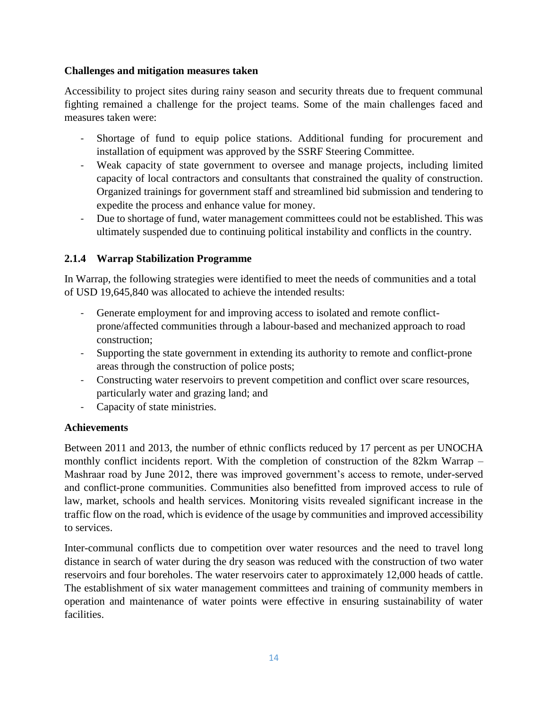#### **Challenges and mitigation measures taken**

Accessibility to project sites during rainy season and security threats due to frequent communal fighting remained a challenge for the project teams. Some of the main challenges faced and measures taken were:

- Shortage of fund to equip police stations. Additional funding for procurement and installation of equipment was approved by the SSRF Steering Committee.
- Weak capacity of state government to oversee and manage projects, including limited capacity of local contractors and consultants that constrained the quality of construction. Organized trainings for government staff and streamlined bid submission and tendering to expedite the process and enhance value for money.
- Due to shortage of fund, water management committees could not be established. This was ultimately suspended due to continuing political instability and conflicts in the country.

# **2.1.4 Warrap Stabilization Programme**

In Warrap, the following strategies were identified to meet the needs of communities and a total of USD 19,645,840 was allocated to achieve the intended results:

- Generate employment for and improving access to isolated and remote conflictprone/affected communities through a labour-based and mechanized approach to road construction;
- Supporting the state government in extending its authority to remote and conflict-prone areas through the construction of police posts;
- Constructing water reservoirs to prevent competition and conflict over scare resources, particularly water and grazing land; and
- Capacity of state ministries.

#### **Achievements**

Between 2011 and 2013, the number of ethnic conflicts reduced by 17 percent as per UNOCHA monthly conflict incidents report. With the completion of construction of the 82km Warrap – Mashraar road by June 2012, there was improved government's access to remote, under-served and conflict-prone communities. Communities also benefitted from improved access to rule of law, market, schools and health services. Monitoring visits revealed significant increase in the traffic flow on the road, which is evidence of the usage by communities and improved accessibility to services.

Inter-communal conflicts due to competition over water resources and the need to travel long distance in search of water during the dry season was reduced with the construction of two water reservoirs and four boreholes. The water reservoirs cater to approximately 12,000 heads of cattle. The establishment of six water management committees and training of community members in operation and maintenance of water points were effective in ensuring sustainability of water facilities.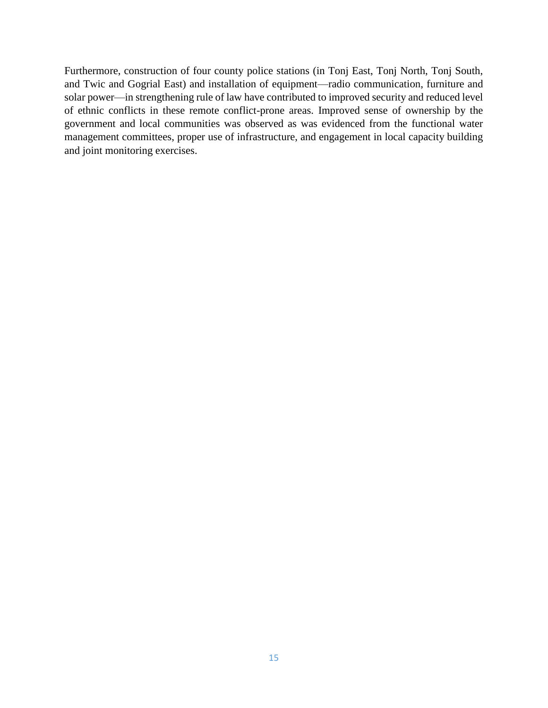Furthermore, construction of four county police stations (in Tonj East, Tonj North, Tonj South, and Twic and Gogrial East) and installation of equipment—radio communication, furniture and solar power—in strengthening rule of law have contributed to improved security and reduced level of ethnic conflicts in these remote conflict-prone areas. Improved sense of ownership by the government and local communities was observed as was evidenced from the functional water management committees, proper use of infrastructure, and engagement in local capacity building and joint monitoring exercises.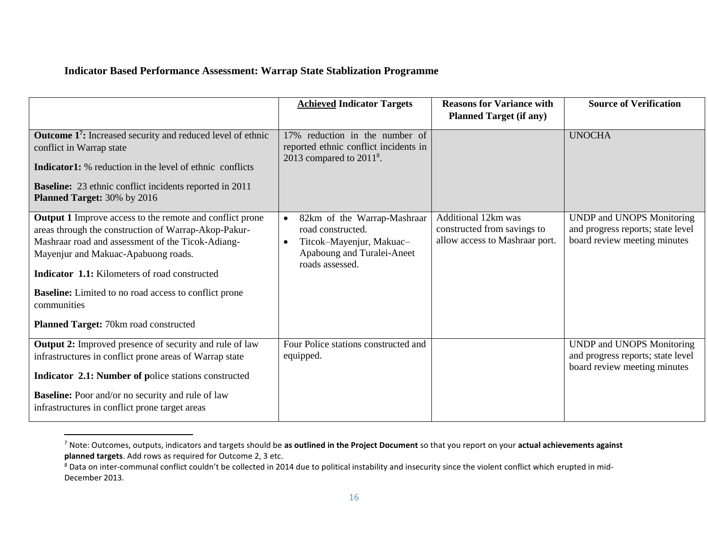#### **Indicator Based Performance Assessment: Warrap State Stablization Programme**

 $\overline{a}$ 

|                                                                                                                                                                                                                                                                                                                                                                                                     | <b>Achieved Indicator Targets</b>                                                                                                                       | <b>Reasons for Variance with</b><br><b>Planned Target (if any)</b>                   | <b>Source of Verification</b>                                                                  |
|-----------------------------------------------------------------------------------------------------------------------------------------------------------------------------------------------------------------------------------------------------------------------------------------------------------------------------------------------------------------------------------------------------|---------------------------------------------------------------------------------------------------------------------------------------------------------|--------------------------------------------------------------------------------------|------------------------------------------------------------------------------------------------|
| <b>Outcome 1<sup>7</sup>:</b> Increased security and reduced level of ethnic<br>conflict in Warrap state<br><b>Indicator1:</b> % reduction in the level of ethnic conflicts<br><b>Baseline:</b> 23 ethnic conflict incidents reported in 2011<br>Planned Target: 30% by 2016                                                                                                                        | 17% reduction in the number of<br>reported ethnic conflict incidents in<br>2013 compared to $20118$ .                                                   |                                                                                      | <b>UNOCHA</b>                                                                                  |
| <b>Output 1</b> Improve access to the remote and conflict prone<br>areas through the construction of Warrap-Akop-Pakur-<br>Mashraar road and assessment of the Ticok-Adiang-<br>Mayenjur and Makuac-Apabuong roads.<br><b>Indicator 1.1:</b> Kilometers of road constructed<br><b>Baseline:</b> Limited to no road access to conflict prone<br>communities<br>Planned Target: 70km road constructed | 82km of the Warrap-Mashraar<br>$\bullet$<br>road constructed.<br>Titcok-Mayenjur, Makuac-<br>$\bullet$<br>Apaboung and Turalei-Aneet<br>roads assessed. | Additional 12km was<br>constructed from savings to<br>allow access to Mashraar port. | UNDP and UNOPS Monitoring<br>and progress reports; state level<br>board review meeting minutes |
| <b>Output 2:</b> Improved presence of security and rule of law<br>infrastructures in conflict prone areas of Warrap state<br>Indicator 2.1: Number of police stations constructed<br><b>Baseline:</b> Poor and/or no security and rule of law<br>infrastructures in conflict prone target areas                                                                                                     | Four Police stations constructed and<br>equipped.                                                                                                       |                                                                                      | UNDP and UNOPS Monitoring<br>and progress reports; state level<br>board review meeting minutes |

<sup>7</sup> Note: Outcomes, outputs, indicators and targets should be **as outlined in the Project Document** so that you report on your **actual achievements against planned targets**. Add rows as required for Outcome 2, 3 etc.

<sup>&</sup>lt;sup>8</sup> Data on inter-communal conflict couldn't be collected in 2014 due to political instability and insecurity since the violent conflict which erupted in mid-December 2013.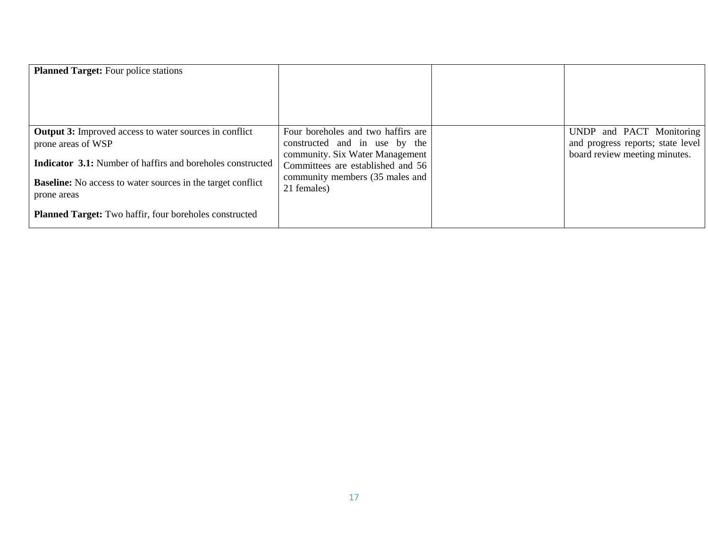| <b>Planned Target:</b> Four police stations                                                                                                                                                                                                                                                                    |                                                                                                                                                                                               |                                                                                                |
|----------------------------------------------------------------------------------------------------------------------------------------------------------------------------------------------------------------------------------------------------------------------------------------------------------------|-----------------------------------------------------------------------------------------------------------------------------------------------------------------------------------------------|------------------------------------------------------------------------------------------------|
| <b>Output 3:</b> Improved access to water sources in conflict<br>prone areas of WSP<br><b>Indicator 3.1:</b> Number of haffirs and boreholes constructed<br><b>Baseline:</b> No access to water sources in the target conflict<br>prone areas<br><b>Planned Target:</b> Two haffir, four boreholes constructed | Four boreholes and two haffirs are<br>constructed and in use by the<br>community. Six Water Management<br>Committees are established and 56<br>community members (35 males and<br>21 females) | UNDP and PACT Monitoring<br>and progress reports; state level<br>board review meeting minutes. |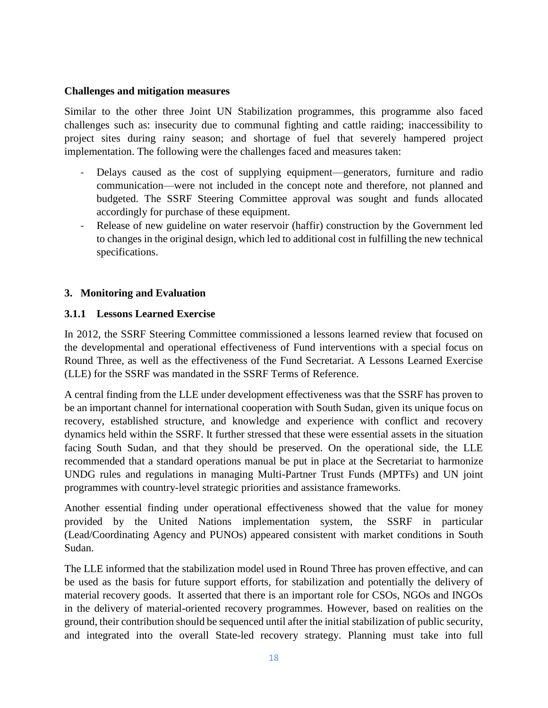#### **Challenges and mitigation measures**

Similar to the other three Joint UN Stabilization programmes, this programme also faced challenges such as: insecurity due to communal fighting and cattle raiding; inaccessibility to project sites during rainy season; and shortage of fuel that severely hampered project implementation. The following were the challenges faced and measures taken:

- Delays caused as the cost of supplying equipment—generators, furniture and radio communication—were not included in the concept note and therefore, not planned and budgeted. The SSRF Steering Committee approval was sought and funds allocated accordingly for purchase of these equipment.
- Release of new guideline on water reservoir (haffir) construction by the Government led to changes in the original design, which led to additional cost in fulfilling the new technical specifications.

#### **3. Monitoring and Evaluation**

#### **3.1.1 Lessons Learned Exercise**

In 2012, the SSRF Steering Committee commissioned a lessons learned review that focused on the developmental and operational effectiveness of Fund interventions with a special focus on Round Three, as well as the effectiveness of the Fund Secretariat. A Lessons Learned Exercise (LLE) for the SSRF was mandated in the SSRF Terms of Reference.

A central finding from the LLE under development effectiveness was that the SSRF has proven to be an important channel for international cooperation with South Sudan, given its unique focus on recovery, established structure, and knowledge and experience with conflict and recovery dynamics held within the SSRF. It further stressed that these were essential assets in the situation facing South Sudan, and that they should be preserved. On the operational side, the LLE recommended that a standard operations manual be put in place at the Secretariat to harmonize UNDG rules and regulations in managing Multi-Partner Trust Funds (MPTFs) and UN joint programmes with country-level strategic priorities and assistance frameworks.

Another essential finding under operational effectiveness showed that the value for money provided by the United Nations implementation system, the SSRF in particular (Lead/Coordinating Agency and PUNOs) appeared consistent with market conditions in South Sudan.

The LLE informed that the stabilization model used in Round Three has proven effective, and can be used as the basis for future support efforts, for stabilization and potentially the delivery of material recovery goods. It asserted that there is an important role for CSOs, NGOs and INGOs in the delivery of material-oriented recovery programmes. However, based on realities on the ground, their contribution should be sequenced until after the initial stabilization of public security, and integrated into the overall State-led recovery strategy. Planning must take into full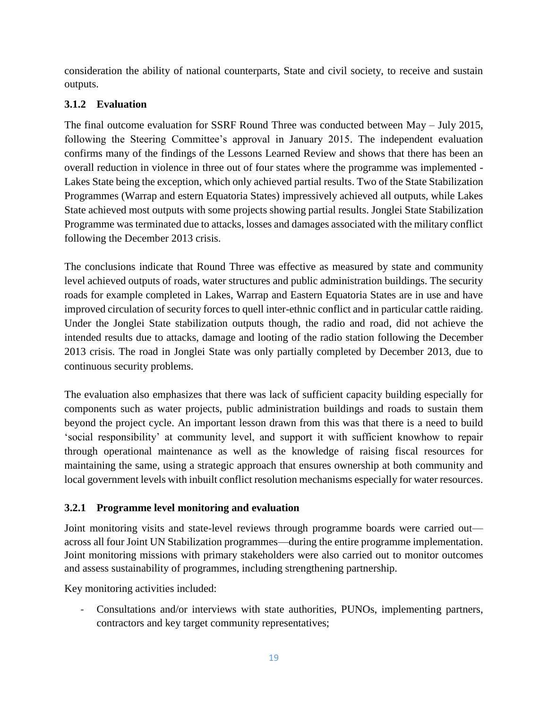consideration the ability of national counterparts, State and civil society, to receive and sustain outputs.

# **3.1.2 Evaluation**

The final outcome evaluation for SSRF Round Three was conducted between May – July 2015, following the Steering Committee's approval in January 2015. The independent evaluation confirms many of the findings of the Lessons Learned Review and shows that there has been an overall reduction in violence in three out of four states where the programme was implemented - Lakes State being the exception, which only achieved partial results. Two of the State Stabilization Programmes (Warrap and estern Equatoria States) impressively achieved all outputs, while Lakes State achieved most outputs with some projects showing partial results. Jonglei State Stabilization Programme was terminated due to attacks, losses and damages associated with the military conflict following the December 2013 crisis.

The conclusions indicate that Round Three was effective as measured by state and community level achieved outputs of roads, water structures and public administration buildings. The security roads for example completed in Lakes, Warrap and Eastern Equatoria States are in use and have improved circulation of security forces to quell inter-ethnic conflict and in particular cattle raiding. Under the Jonglei State stabilization outputs though, the radio and road, did not achieve the intended results due to attacks, damage and looting of the radio station following the December 2013 crisis. The road in Jonglei State was only partially completed by December 2013, due to continuous security problems.

The evaluation also emphasizes that there was lack of sufficient capacity building especially for components such as water projects, public administration buildings and roads to sustain them beyond the project cycle. An important lesson drawn from this was that there is a need to build 'social responsibility' at community level, and support it with sufficient knowhow to repair through operational maintenance as well as the knowledge of raising fiscal resources for maintaining the same, using a strategic approach that ensures ownership at both community and local government levels with inbuilt conflict resolution mechanisms especially for water resources.

# **3.2.1 Programme level monitoring and evaluation**

Joint monitoring visits and state-level reviews through programme boards were carried out across all four Joint UN Stabilization programmes—during the entire programme implementation. Joint monitoring missions with primary stakeholders were also carried out to monitor outcomes and assess sustainability of programmes, including strengthening partnership.

Key monitoring activities included:

- Consultations and/or interviews with state authorities, PUNOs, implementing partners, contractors and key target community representatives;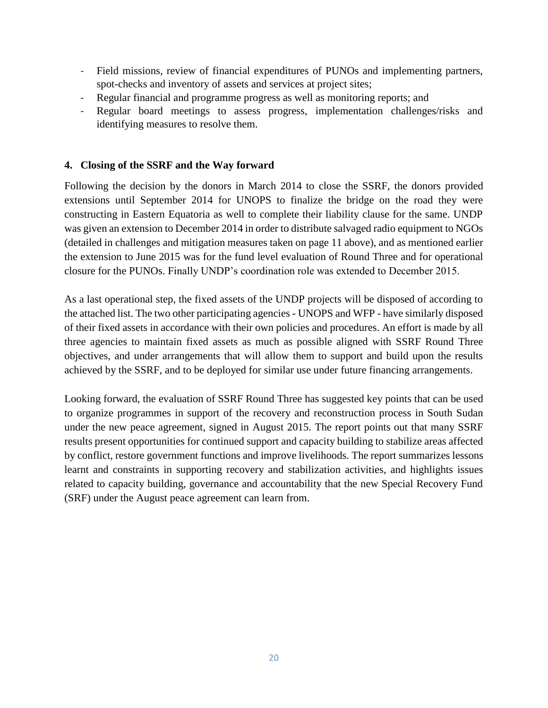- Field missions, review of financial expenditures of PUNOs and implementing partners, spot-checks and inventory of assets and services at project sites;
- Regular financial and programme progress as well as monitoring reports; and
- Regular board meetings to assess progress, implementation challenges/risks and identifying measures to resolve them.

# **4. Closing of the SSRF and the Way forward**

Following the decision by the donors in March 2014 to close the SSRF, the donors provided extensions until September 2014 for UNOPS to finalize the bridge on the road they were constructing in Eastern Equatoria as well to complete their liability clause for the same. UNDP was given an extension to December 2014 in order to distribute salvaged radio equipment to NGOs (detailed in challenges and mitigation measures taken on page 11 above), and as mentioned earlier the extension to June 2015 was for the fund level evaluation of Round Three and for operational closure for the PUNOs. Finally UNDP's coordination role was extended to December 2015.

As a last operational step, the fixed assets of the UNDP projects will be disposed of according to the attached list. The two other participating agencies - UNOPS and WFP - have similarly disposed of their fixed assets in accordance with their own policies and procedures. An effort is made by all three agencies to maintain fixed assets as much as possible aligned with SSRF Round Three objectives, and under arrangements that will allow them to support and build upon the results achieved by the SSRF, and to be deployed for similar use under future financing arrangements.

Looking forward, the evaluation of SSRF Round Three has suggested key points that can be used to organize programmes in support of the recovery and reconstruction process in South Sudan under the new peace agreement, signed in August 2015. The report points out that many SSRF results present opportunities for continued support and capacity building to stabilize areas affected by conflict, restore government functions and improve livelihoods. The report summarizes lessons learnt and constraints in supporting recovery and stabilization activities, and highlights issues related to capacity building, governance and accountability that the new Special Recovery Fund (SRF) under the August peace agreement can learn from.